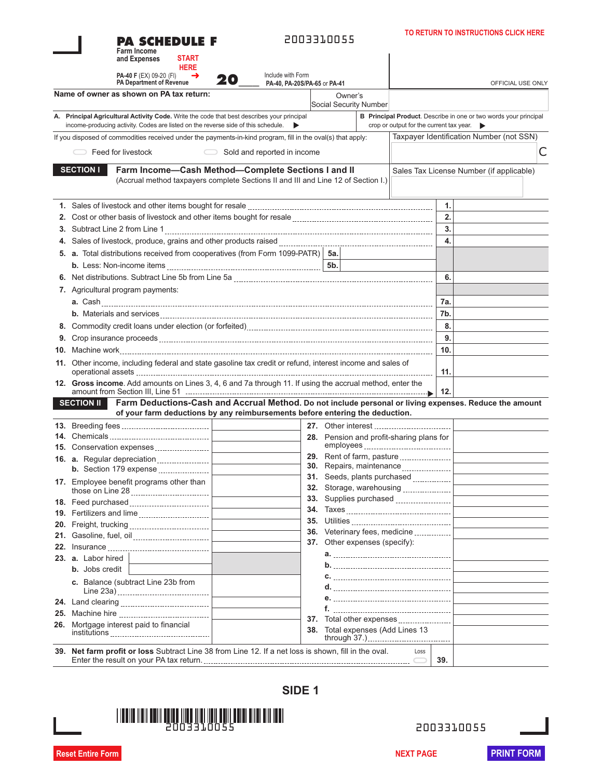| PA SCHEDULE F<br>Farm Income<br><b>START</b><br>and Expenses                                                |                                                                                                                                                                                        | 2003310055                                                          |                                                                |     | TO RETURN TO INSTRUCTIONS CLICK HERE                             |   |
|-------------------------------------------------------------------------------------------------------------|----------------------------------------------------------------------------------------------------------------------------------------------------------------------------------------|---------------------------------------------------------------------|----------------------------------------------------------------|-----|------------------------------------------------------------------|---|
| <b>HERE</b><br><b>PA-40 F</b> (EX) 09-20 (FI)<br>→<br><b>PA Department of Revenue</b>                       | Include with Form<br>20<br>PA-40. PA-20S/PA-65 or PA-41                                                                                                                                |                                                                     |                                                                |     | OFFICIAL USE ONLY                                                |   |
| Name of owner as shown on PA tax return:                                                                    |                                                                                                                                                                                        | Owner's<br><b>Social Security Number</b>                            |                                                                |     |                                                                  |   |
| A. Principal Agricultural Activity Code. Write the code that best describes your principal                  |                                                                                                                                                                                        |                                                                     |                                                                |     | B Principal Product. Describe in one or two words your principal |   |
| income-producing activity. Codes are listed on the reverse side of this schedule.                           |                                                                                                                                                                                        |                                                                     | crop or output for the current tax year. $\blacktriangleright$ |     |                                                                  |   |
| If you disposed of commodities received under the payments-in-kind program, fill in the oval(s) that apply: |                                                                                                                                                                                        |                                                                     |                                                                |     | Taxpayer Identification Number (not SSN)                         |   |
| Feed for livestock                                                                                          | Sold and reported in income<br>$\bigcirc$                                                                                                                                              |                                                                     |                                                                |     |                                                                  | Ċ |
| <b>SECTION I</b>                                                                                            | Farm Income-Cash Method-Complete Sections I and II<br>(Accrual method taxpayers complete Sections II and III and Line 12 of Section I.)                                                |                                                                     |                                                                |     | Sales Tax License Number (if applicable)                         |   |
|                                                                                                             |                                                                                                                                                                                        |                                                                     |                                                                | 1.  |                                                                  |   |
|                                                                                                             |                                                                                                                                                                                        |                                                                     |                                                                | 2.  |                                                                  |   |
| 3. Subtract Line 2 from Line 1                                                                              |                                                                                                                                                                                        |                                                                     |                                                                | 3.  |                                                                  |   |
|                                                                                                             |                                                                                                                                                                                        |                                                                     |                                                                | 4.  |                                                                  |   |
| 5. a. Total distributions received from cooperatives (from Form 1099-PATR)   5a.                            |                                                                                                                                                                                        |                                                                     |                                                                |     |                                                                  |   |
|                                                                                                             |                                                                                                                                                                                        | 5 <sub>b</sub>                                                      |                                                                |     |                                                                  |   |
|                                                                                                             |                                                                                                                                                                                        |                                                                     |                                                                | 6.  |                                                                  |   |
| 7. Agricultural program payments:                                                                           |                                                                                                                                                                                        |                                                                     |                                                                |     |                                                                  |   |
|                                                                                                             |                                                                                                                                                                                        |                                                                     |                                                                | 7a. |                                                                  |   |
|                                                                                                             |                                                                                                                                                                                        |                                                                     |                                                                | 7b. |                                                                  |   |
|                                                                                                             |                                                                                                                                                                                        |                                                                     |                                                                | 8.  |                                                                  |   |
|                                                                                                             |                                                                                                                                                                                        |                                                                     |                                                                | 9.  |                                                                  |   |
|                                                                                                             |                                                                                                                                                                                        |                                                                     |                                                                | 10. |                                                                  |   |
| 11. Other income, including federal and state gasoline tax credit or refund, interest income and sales of   |                                                                                                                                                                                        |                                                                     |                                                                | 11. |                                                                  |   |
| 12. Gross income. Add amounts on Lines 3, 4, 6 and 7a through 11. If using the accrual method, enter the    |                                                                                                                                                                                        |                                                                     |                                                                | 12. |                                                                  |   |
| <b>SECTION II</b>                                                                                           | Farm Deductions-Cash and Accrual Method. Do not include personal or living expenses. Reduce the amount<br>of your farm deductions by any reimbursements before entering the deduction. |                                                                     |                                                                |     |                                                                  |   |
|                                                                                                             |                                                                                                                                                                                        |                                                                     |                                                                |     |                                                                  |   |
|                                                                                                             |                                                                                                                                                                                        | 28. Pension and profit-sharing plans for                            |                                                                |     |                                                                  |   |
| 15. Conservation expenses                                                                                   |                                                                                                                                                                                        |                                                                     |                                                                |     |                                                                  |   |
| 16. a. Regular depreciation                                                                                 |                                                                                                                                                                                        | <b>29.</b> Rent of farm, pasture<br><b>30.</b> Repairs, maintenance |                                                                |     |                                                                  |   |
| <b>b.</b> Section 179 expense                                                                               |                                                                                                                                                                                        | 31. Seeds, plants purchased                                         |                                                                |     |                                                                  |   |
| 17. Employee benefit programs other than<br>those on Line 28                                                |                                                                                                                                                                                        | <b>32.</b> Storage, warehousing                                     |                                                                |     |                                                                  |   |
| 18. Feed purchased                                                                                          |                                                                                                                                                                                        | <b>33.</b> Supplies purchased                                       |                                                                |     |                                                                  |   |
| 19. Fertilizers and lime                                                                                    |                                                                                                                                                                                        |                                                                     |                                                                |     |                                                                  |   |
| 20. Freight, trucking                                                                                       |                                                                                                                                                                                        |                                                                     |                                                                |     |                                                                  |   |
|                                                                                                             |                                                                                                                                                                                        | 36. Veterinary fees, medicine<br>37. Other expenses (specify):      |                                                                |     |                                                                  |   |
|                                                                                                             |                                                                                                                                                                                        |                                                                     |                                                                |     |                                                                  |   |
| 23. a. Labor hired                                                                                          |                                                                                                                                                                                        |                                                                     |                                                                |     |                                                                  |   |
| <b>b.</b> Jobs credit                                                                                       |                                                                                                                                                                                        |                                                                     |                                                                |     |                                                                  |   |
| c. Balance (subtract Line 23b from                                                                          |                                                                                                                                                                                        |                                                                     |                                                                |     |                                                                  |   |
|                                                                                                             |                                                                                                                                                                                        |                                                                     |                                                                |     |                                                                  |   |
|                                                                                                             |                                                                                                                                                                                        |                                                                     |                                                                |     |                                                                  |   |
| 26. Mortgage interest paid to financial                                                                     |                                                                                                                                                                                        | 37.<br>38. Total expenses (Add Lines 13                             | Total other expenses<br>through 37.)                           |     |                                                                  |   |
| 39. Net farm profit or loss Subtract Line 38 from Line 12. If a net loss is shown, fill in the oval.        |                                                                                                                                                                                        |                                                                     | Loss                                                           | 39. |                                                                  |   |

**SIDE 1**



**TO RETURN TO INSTRUCTIONS CLICK HERE**

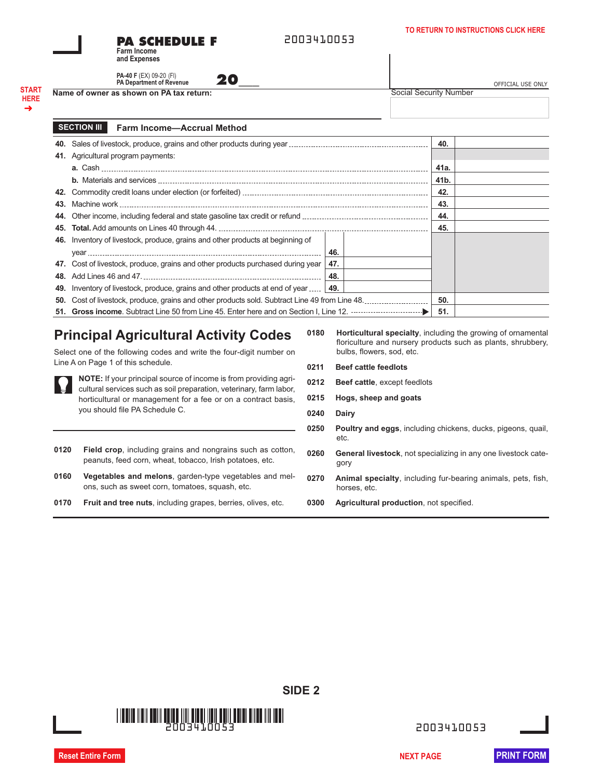**PA SCHEDULE F Farm Income**

2003410053

| <b>PA-40 F</b> (EX) 09-20 (FI)  |  |
|---------------------------------|--|
|                                 |  |
| <b>PA Department of Revenue</b> |  |
|                                 |  |

**START HERE** ➜

| Name of owner as shown on PA tax return: | Social Security Number |
|------------------------------------------|------------------------|
|                                          |                        |

**and Expenses**

**PA-40 F** (EX) 09-20 (FI)<br>**PA Department of Revenue <b>20\_\_\_\_** OFFICIAL USE ONLY

#### **Farm Income—Accrual Method SECTION III**

|     |                                                                                 |     |  | 40.  |  |
|-----|---------------------------------------------------------------------------------|-----|--|------|--|
|     | 41. Agricultural program payments:                                              |     |  |      |  |
|     |                                                                                 |     |  | 41a. |  |
|     |                                                                                 |     |  | 41b. |  |
|     |                                                                                 |     |  | 42.  |  |
| 43. |                                                                                 |     |  | 43.  |  |
| 44. |                                                                                 |     |  | 44.  |  |
|     |                                                                                 |     |  | 45.  |  |
|     | 46. Inventory of livestock, produce, grains and other products at beginning of  |     |  |      |  |
|     |                                                                                 | 46. |  |      |  |
|     | 47. Cost of livestock, produce, grains and other products purchased during year | 47. |  |      |  |
|     |                                                                                 | 48. |  |      |  |
|     | 49. Inventory of livestock, produce, grains and other products at end of year   | 49. |  |      |  |
| 50. |                                                                                 |     |  | 50.  |  |
|     |                                                                                 |     |  | 51.  |  |

# **Principal Agricultural Activity Codes**

Select one of the following codes and write the four-digit number on Line A on Page 1 of this schedule.

**NOTE:** If your principal source of income is from providing agricultural services such as soil preparation, veterinary, farm labor, horticultural or management for a fee or on a contract basis, you should file PA Schedule C.

- **0120 Field crop**, including grains and nongrains such as cotton, peanuts, feed corn, wheat, tobacco, Irish potatoes, etc.
- **0160 Vegetables and melons**, garden-type vegetables and melons, such as sweet corn, tomatoes, squash, etc.
- **0170 Fruit and tree nuts**, including grapes, berries, olives, etc.
- **0180 Horticultural specialty**, including the growing of ornamental floriculture and nursery products such as plants, shrubbery, bulbs, flowers, sod, etc.
- **0211 Beef cattle feedlots**
- **0212 Beef cattle**, except feedlots
- **0215 Hogs, sheep and goats**
- **0240 Dairy**

**SIDE 2**

- **0250 Poultry and eggs**, including chickens, ducks, pigeons, quail, etc.
- **0260 General livestock**, not specializing in any one livestock category
- **0270 Animal specialty**, including fur-bearing animals, pets, fish, horses, etc.
- **0300 Agricultural production**, not specified.

2003410053 2003410053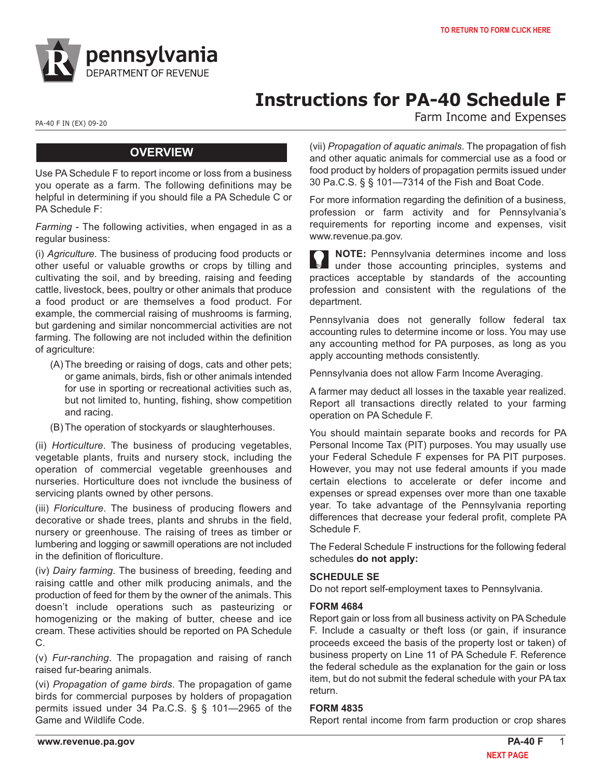

# **Instructions for PA-40 Schedule F**

PA-40 F IN (EX) 09-20<br>
PA-40 F IN (EX) 09-20

# **OVERVIEW**

Use PA Schedule F to report income or loss from a business you operate as a farm. The following definitions may be helpful in determining if you should file a PA Schedule C or PA Schedule F:

*Farming* - The following activities, when engaged in as a regular business:

(i) *Agriculture*. The business of producing food products or other useful or valuable growths or crops by tilling and cultivating the soil, and by breeding, raising and feeding cattle, livestock, bees, poultry or other animals that produce a food product or are themselves a food product. For example, the commercial raising of mushrooms is farming, but gardening and similar noncommercial activities are not farming. The following are not included within the definition of agriculture:

- (A) The breeding or raising of dogs, cats and other pets; or game animals, birds, fish or other animals intended for use in sporting or recreational activities such as, but not limited to, hunting, fishing, show competition and racing.
- (B) The operation of stockyards or slaughterhouses.

(ii) *Horticulture*. The business of producing vegetables, vegetable plants, fruits and nursery stock, including the operation of commercial vegetable greenhouses and nurseries. Horticulture does not ivnclude the business of servicing plants owned by other persons.

(iii) *Floriculture*. The business of producing flowers and decorative or shade trees, plants and shrubs in the field, nursery or greenhouse. The raising of trees as timber or lumbering and logging or sawmill operations are not included in the definition of floriculture.

(iv) *Dairy farming*. The business of breeding, feeding and raising cattle and other milk producing animals, and the production of feed for them by the owner of the animals. This doesn't include operations such as pasteurizing or homogenizing or the making of butter, cheese and ice cream. These activities should be reported on PA Schedule C.

(v) *Fur-ranching*. The propagation and raising of ranch raised fur-bearing animals.

(vi) *Propagation of game birds*. The propagation of game birds for commercial purposes by holders of propagation permits issued under 34 Pa.C.S. § § 101—2965 of the Game and Wildlife Code.

(vii) *Propagation of aquatic animals*. The propagation of fish and other aquatic animals for commercial use as a food or food product by holders of propagation permits issued under 30 Pa.C.S. § § 101—7314 of the Fish and Boat Code.

For more information regarding the definition of a business, profession or farm activity and for Pennsylvania's requirements for reporting income and expenses, visit www.revenue.pa.gov.

**NOTE:** Pennsylvania determines income and loss under those accounting principles, systems and practices acceptable by standards of the accounting profession and consistent with the regulations of the department.

Pennsylvania does not generally follow federal tax accounting rules to determine income or loss. You may use any accounting method for PA purposes, as long as you apply accounting methods consistently.

Pennsylvania does not allow Farm Income Averaging.

A farmer may deduct all losses in the taxable year realized. Report all transactions directly related to your farming operation on PA Schedule F.

You should maintain separate books and records for PA Personal Income Tax (PIT) purposes. You may usually use your Federal Schedule F expenses for PA PIT purposes. However, you may not use federal amounts if you made certain elections to accelerate or defer income and expenses or spread expenses over more than one taxable year. To take advantage of the Pennsylvania reporting differences that decrease your federal profit, complete PA Schedule F.

The Federal Schedule F instructions for the following federal schedules **do not apply:**

#### **SCHEDULE SE**

Do not report self-employment taxes to Pennsylvania.

#### **FORM 4684**

Report gain or loss from all business activity on PA Schedule F. Include a casualty or theft loss (or gain, if insurance proceeds exceed the basis of the property lost or taken) of business property on Line 11 of PA Schedule F. Reference the federal schedule as the explanation for the gain or loss item, but do not submit the federal schedule with your PA tax return.

#### **FORM 4835**

Report rental income from farm production or crop shares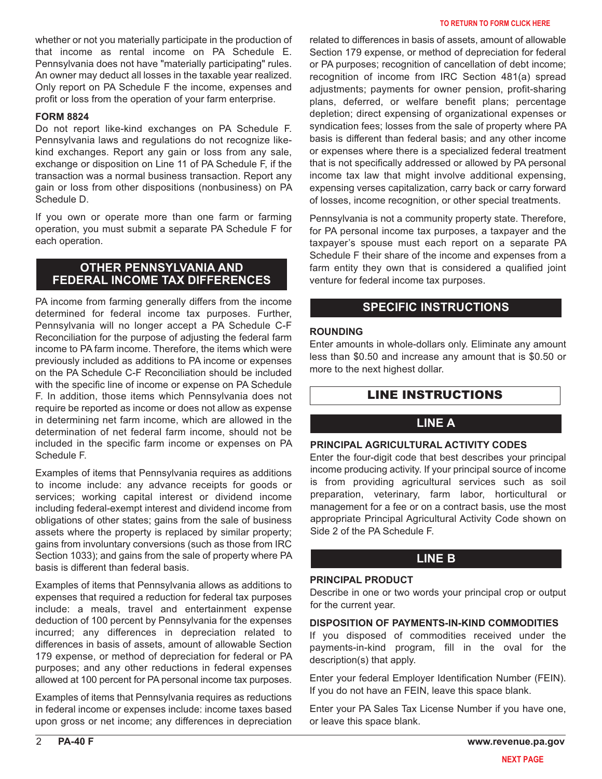whether or not you materially participate in the production of that income as rental income on PA Schedule E. Pennsylvania does not have "materially participating" rules. An owner may deduct all losses in the taxable year realized. Only report on PA Schedule F the income, expenses and profit or loss from the operation of your farm enterprise.

#### **FORM 8824**

Do not report like-kind exchanges on PA Schedule F. Pennsylvania laws and regulations do not recognize likekind exchanges. Report any gain or loss from any sale, exchange or disposition on Line 11 of PA Schedule F, if the transaction was a normal business transaction. Report any gain or loss from other dispositions (nonbusiness) on PA Schedule D.

If you own or operate more than one farm or farming operation, you must submit a separate PA Schedule F for each operation.

# **OTHER PENNSYLVANIA AND FEDERAL INCOME TAX DIFFERENCES**

PA income from farming generally differs from the income determined for federal income tax purposes. Further, Pennsylvania will no longer accept a PA Schedule C-F Reconciliation for the purpose of adjusting the federal farm income to PA farm income. Therefore, the items which were previously included as additions to PA income or expenses on the PA Schedule C-F Reconciliation should be included with the specific line of income or expense on PA Schedule F. In addition, those items which Pennsylvania does not require be reported as income or does not allow as expense in determining net farm income, which are allowed in the determination of net federal farm income, should not be included in the specific farm income or expenses on PA Schedule F.

Examples of items that Pennsylvania requires as additions to income include: any advance receipts for goods or services; working capital interest or dividend income including federal-exempt interest and dividend income from obligations of other states; gains from the sale of business assets where the property is replaced by similar property; gains from involuntary conversions (such as those from IRC Section 1033); and gains from the sale of property where PA basis is different than federal basis.

Examples of items that Pennsylvania allows as additions to expenses that required a reduction for federal tax purposes include: a meals, travel and entertainment expense deduction of 100 percent by Pennsylvania for the expenses incurred; any differences in depreciation related to differences in basis of assets, amount of allowable Section 179 expense, or method of depreciation for federal or PA purposes; and any other reductions in federal expenses allowed at 100 percent for PA personal income tax purposes.

Examples of items that Pennsylvania requires as reductions in federal income or expenses include: income taxes based upon gross or net income; any differences in depreciation

related to differences in basis of assets, amount of allowable Section 179 expense, or method of depreciation for federal or PA purposes; recognition of cancellation of debt income; recognition of income from IRC Section 481(a) spread adjustments; payments for owner pension, profit-sharing plans, deferred, or welfare benefit plans; percentage depletion; direct expensing of organizational expenses or syndication fees; losses from the sale of property where PA basis is different than federal basis; and any other income or expenses where there is a specialized federal treatment that is not specifically addressed or allowed by PA personal income tax law that might involve additional expensing, expensing verses capitalization, carry back or carry forward of losses, income recognition, or other special treatments.

Pennsylvania is not a community property state. Therefore, for PA personal income tax purposes, a taxpayer and the taxpayer's spouse must each report on a separate PA Schedule F their share of the income and expenses from a farm entity they own that is considered a qualified joint venture for federal income tax purposes.

# **SPECIFIC INSTRUCTIONS**

#### **ROUNDING**

Enter amounts in whole-dollars only. Eliminate any amount less than \$0.50 and increase any amount that is \$0.50 or more to the next highest dollar.

# LINE INSTRUCTIONS

# **LINE A**

#### **PRINCIPAL AGRICULTURAL ACTIVITY CODES**

Enter the four-digit code that best describes your principal income producing activity. If your principal source of income is from providing agricultural services such as soil preparation, veterinary, farm labor, horticultural or management for a fee or on a contract basis, use the most appropriate Principal Agricultural Activity Code shown on Side 2 of the PA Schedule F.

# **LINE B**

## **PRINCIPAL PRODUCT**

Describe in one or two words your principal crop or output for the current year.

#### **DISPOSITION OF PAYMENTS-IN-KIND COMMODITIES**

If you disposed of commodities received under the payments-in-kind program, fill in the oval for the description(s) that apply.

Enter your federal Employer Identification Number (FEIN). If you do not have an FEIN, leave this space blank.

Enter your PA Sales Tax License Number if you have one, or leave this space blank.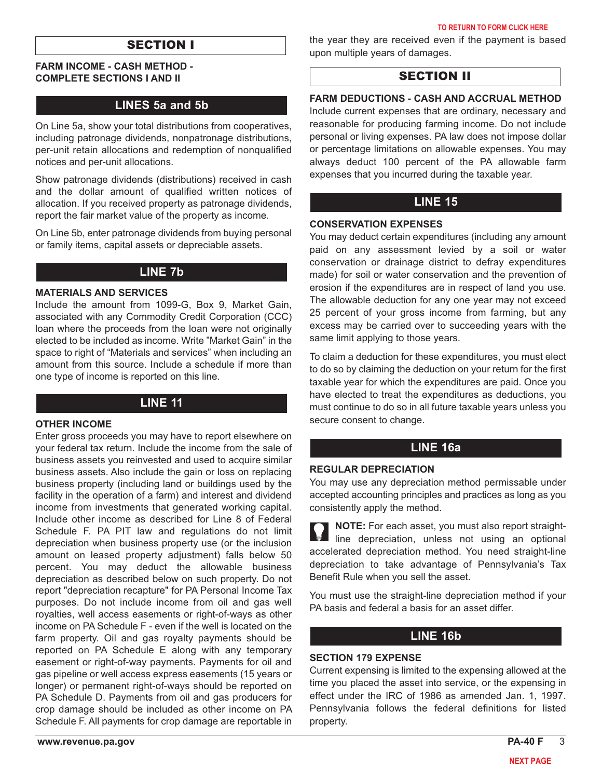# SECTION I

#### **FARM INCOME - CASH METHOD - COMPLETE SECTIONS I AND II**

# **LINES 5a and 5b**

On Line 5a, show your total distributions from cooperatives, including patronage dividends, nonpatronage distributions, per-unit retain allocations and redemption of nonqualified notices and per-unit allocations.

Show patronage dividends (distributions) received in cash and the dollar amount of qualified written notices of allocation. If you received property as patronage dividends, report the fair market value of the property as income.

On Line 5b, enter patronage dividends from buying personal or family items, capital assets or depreciable assets.

# **LINE 7b**

#### **MATERIALS AND SERVICES**

Include the amount from 1099-G, Box 9, Market Gain, associated with any Commodity Credit Corporation (CCC) loan where the proceeds from the loan were not originally elected to be included as income. Write "Market Gain" in the space to right of "Materials and services" when including an amount from this source. Include a schedule if more than one type of income is reported on this line.

### **LINE 11**

#### **OTHER INCOME**

Enter gross proceeds you may have to report elsewhere on your federal tax return. Include the income from the sale of business assets you reinvested and used to acquire similar business assets. Also include the gain or loss on replacing business property (including land or buildings used by the facility in the operation of a farm) and interest and dividend income from investments that generated working capital. Include other income as described for Line 8 of Federal Schedule F. PA PIT law and regulations do not limit depreciation when business property use (or the inclusion amount on leased property adjustment) falls below 50 percent. You may deduct the allowable business depreciation as described below on such property. Do not report "depreciation recapture" for PA Personal Income Tax purposes. Do not include income from oil and gas well royalties, well access easements or right-of-ways as other income on PA Schedule F - even if the well is located on the farm property. Oil and gas royalty payments should be reported on PA Schedule E along with any temporary easement or right-of-way payments. Payments for oil and gas pipeline or well access express easements (15 years or longer) or permanent right-of-ways should be reported on PA Schedule D. Payments from oil and gas producers for crop damage should be included as other income on PA Schedule F. All payments for crop damage are reportable in

the year they are received even if the payment is based upon multiple years of damages.

# SECTION II

#### **FARM DEDUCTIONS - CASH AND ACCRUAL METHOD**

Include current expenses that are ordinary, necessary and reasonable for producing farming income. Do not include personal or living expenses. PA law does not impose dollar or percentage limitations on allowable expenses. You may always deduct 100 percent of the PA allowable farm expenses that you incurred during the taxable year.

### **LINE 15**

#### **CONSERVATION EXPENSES**

You may deduct certain expenditures (including any amount paid on any assessment levied by a soil or water conservation or drainage district to defray expenditures made) for soil or water conservation and the prevention of erosion if the expenditures are in respect of land you use. The allowable deduction for any one year may not exceed 25 percent of your gross income from farming, but any excess may be carried over to succeeding years with the same limit applying to those years.

To claim a deduction for these expenditures, you must elect to do so by claiming the deduction on your return for the first taxable year for which the expenditures are paid. Once you have elected to treat the expenditures as deductions, you must continue to do so in all future taxable years unless you secure consent to change.

### **LINE 16a**

#### **REGULAR DEPRECIATION**

You may use any depreciation method permissable under accepted accounting principles and practices as long as you consistently apply the method.

**NOTE:** For each asset, you must also report straightline depreciation, unless not using an optional accelerated depreciation method. You need straight-line depreciation to take advantage of Pennsylvania's Tax Benefit Rule when you sell the asset.

You must use the straight-line depreciation method if your PA basis and federal a basis for an asset differ.

# **LINE 16b**

#### **SECTION 179 EXPENSE**

Current expensing is limited to the expensing allowed at the time you placed the asset into service, or the expensing in effect under the IRC of 1986 as amended Jan. 1, 1997. Pennsylvania follows the federal definitions for listed property.